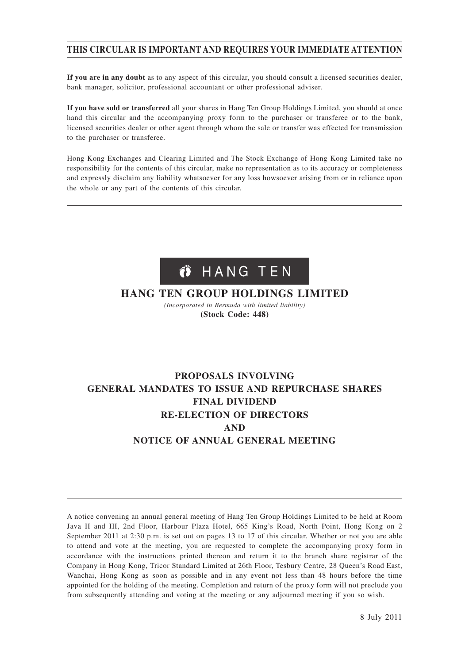# **THIS CIRCULAR IS IMPORTANT AND REQUIRES YOUR IMMEDIATE ATTENTION**

**If you are in any doubt** as to any aspect of this circular, you should consult a licensed securities dealer, bank manager, solicitor, professional accountant or other professional adviser.

**If you have sold or transferred** all your shares in Hang Ten Group Holdings Limited, you should at once hand this circular and the accompanying proxy form to the purchaser or transferee or to the bank, licensed securities dealer or other agent through whom the sale or transfer was effected for transmission to the purchaser or transferee.

Hong Kong Exchanges and Clearing Limited and The Stock Exchange of Hong Kong Limited take no responsibility for the contents of this circular, make no representation as to its accuracy or completeness and expressly disclaim any liability whatsoever for any loss howsoever arising from or in reliance upon the whole or any part of the contents of this circular.



# **HANG TEN GROUP HOLDINGS LIMITED**

*(Incorporated in Bermuda with limited liability)* **(Stock Code: 448)**

# **PROPOSALS INVOLVING GENERAL MANDATES TO ISSUE AND REPURCHASE SHARES FINAL DIVIDEND RE-ELECTION OF DIRECTORS AND NOTICE OF ANNUAL GENERAL MEETING**

A notice convening an annual general meeting of Hang Ten Group Holdings Limited to be held at Room Java II and III, 2nd Floor, Harbour Plaza Hotel, 665 King's Road, North Point, Hong Kong on 2 September 2011 at 2:30 p.m. is set out on pages 13 to 17 of this circular. Whether or not you are able to attend and vote at the meeting, you are requested to complete the accompanying proxy form in accordance with the instructions printed thereon and return it to the branch share registrar of the Company in Hong Kong, Tricor Standard Limited at 26th Floor, Tesbury Centre, 28 Queen's Road East, Wanchai, Hong Kong as soon as possible and in any event not less than 48 hours before the time appointed for the holding of the meeting. Completion and return of the proxy form will not preclude you from subsequently attending and voting at the meeting or any adjourned meeting if you so wish.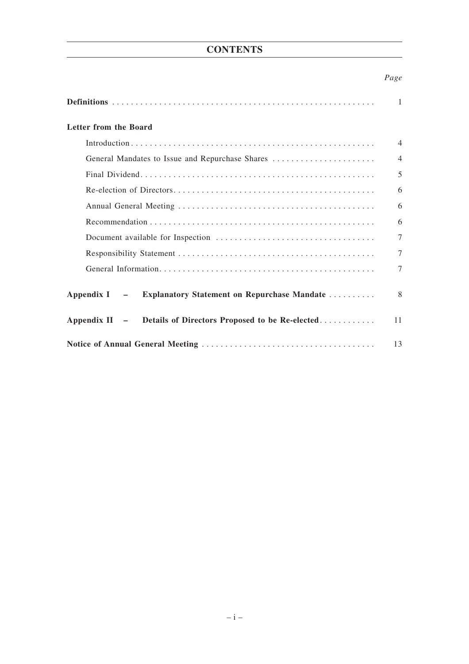# **CONTENTS**

# *Page*

|                                                                       | $\mathbf{1}$   |
|-----------------------------------------------------------------------|----------------|
| Letter from the Board                                                 |                |
|                                                                       | $\overline{4}$ |
|                                                                       | $\overline{4}$ |
|                                                                       | 5              |
|                                                                       | 6              |
|                                                                       | 6              |
|                                                                       | 6              |
|                                                                       | $\tau$         |
|                                                                       | $\tau$         |
|                                                                       | $\tau$         |
| <b>Explanatory Statement on Repurchase Mandate </b><br>Appendix $I -$ | 8              |
| Details of Directors Proposed to be Re-elected<br>Appendix $II -$     | 11             |
|                                                                       | 13             |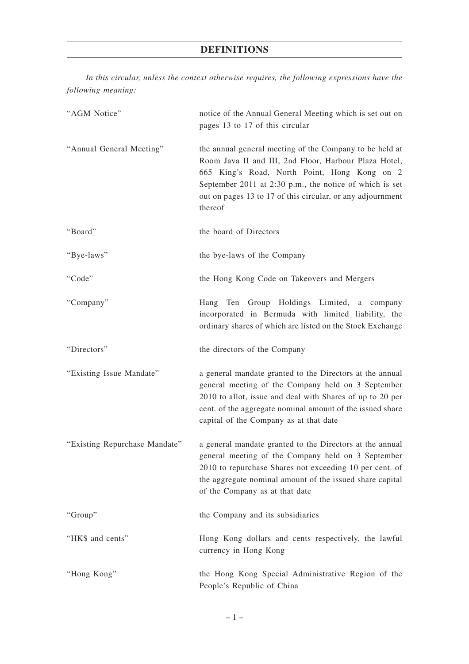# **DEFINITIONS**

*In this circular, unless the context otherwise requires, the following expressions have the following meaning:*

| "AGM Notice"                  | notice of the Annual General Meeting which is set out on<br>pages 13 to 17 of this circular                                                                                                                                                                                                            |
|-------------------------------|--------------------------------------------------------------------------------------------------------------------------------------------------------------------------------------------------------------------------------------------------------------------------------------------------------|
| "Annual General Meeting"      | the annual general meeting of the Company to be held at<br>Room Java II and III, 2nd Floor, Harbour Plaza Hotel,<br>665 King's Road, North Point, Hong Kong on 2<br>September 2011 at $2:30$ p.m., the notice of which is set<br>out on pages 13 to 17 of this circular, or any adjournment<br>thereof |
| "Board"                       | the board of Directors                                                                                                                                                                                                                                                                                 |
| "Bye-laws"                    | the bye-laws of the Company                                                                                                                                                                                                                                                                            |
| "Code"                        | the Hong Kong Code on Takeovers and Mergers                                                                                                                                                                                                                                                            |
| "Company"                     | Hang Ten Group Holdings Limited, a company<br>incorporated in Bermuda with limited liability, the<br>ordinary shares of which are listed on the Stock Exchange                                                                                                                                         |
| "Directors"                   | the directors of the Company                                                                                                                                                                                                                                                                           |
| "Existing Issue Mandate"      | a general mandate granted to the Directors at the annual<br>general meeting of the Company held on 3 September<br>2010 to allot, issue and deal with Shares of up to 20 per<br>cent. of the aggregate nominal amount of the issued share<br>capital of the Company as at that date                     |
| "Existing Repurchase Mandate" | a general mandate granted to the Directors at the annual<br>general meeting of the Company held on 3 September<br>2010 to repurchase Shares not exceeding 10 per cent. of<br>the aggregate nominal amount of the issued share capital<br>of the Company as at that date                                |
| "Group"                       | the Company and its subsidiaries                                                                                                                                                                                                                                                                       |
| "HK\$ and cents"              | Hong Kong dollars and cents respectively, the lawful<br>currency in Hong Kong                                                                                                                                                                                                                          |
| "Hong Kong"                   | the Hong Kong Special Administrative Region of the<br>People's Republic of China                                                                                                                                                                                                                       |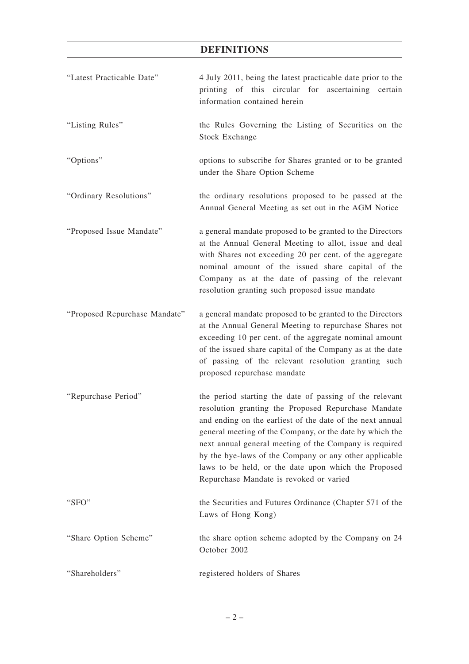# **DEFINITIONS**

| "Latest Practicable Date"     | 4 July 2011, being the latest practicable date prior to the<br>printing of this circular for ascertaining certain<br>information contained herein                                                                                                                                                                                                                                                                                                              |
|-------------------------------|----------------------------------------------------------------------------------------------------------------------------------------------------------------------------------------------------------------------------------------------------------------------------------------------------------------------------------------------------------------------------------------------------------------------------------------------------------------|
| "Listing Rules"               | the Rules Governing the Listing of Securities on the<br><b>Stock Exchange</b>                                                                                                                                                                                                                                                                                                                                                                                  |
| "Options"                     | options to subscribe for Shares granted or to be granted<br>under the Share Option Scheme                                                                                                                                                                                                                                                                                                                                                                      |
| "Ordinary Resolutions"        | the ordinary resolutions proposed to be passed at the<br>Annual General Meeting as set out in the AGM Notice                                                                                                                                                                                                                                                                                                                                                   |
| "Proposed Issue Mandate"      | a general mandate proposed to be granted to the Directors<br>at the Annual General Meeting to allot, issue and deal<br>with Shares not exceeding 20 per cent. of the aggregate<br>nominal amount of the issued share capital of the<br>Company as at the date of passing of the relevant<br>resolution granting such proposed issue mandate                                                                                                                    |
| "Proposed Repurchase Mandate" | a general mandate proposed to be granted to the Directors<br>at the Annual General Meeting to repurchase Shares not<br>exceeding 10 per cent. of the aggregate nominal amount<br>of the issued share capital of the Company as at the date<br>of passing of the relevant resolution granting such<br>proposed repurchase mandate                                                                                                                               |
| "Repurchase Period"           | the period starting the date of passing of the relevant<br>resolution granting the Proposed Repurchase Mandate<br>and ending on the earliest of the date of the next annual<br>general meeting of the Company, or the date by which the<br>next annual general meeting of the Company is required<br>by the bye-laws of the Company or any other applicable<br>laws to be held, or the date upon which the Proposed<br>Repurchase Mandate is revoked or varied |
| "SFO"                         | the Securities and Futures Ordinance (Chapter 571 of the<br>Laws of Hong Kong)                                                                                                                                                                                                                                                                                                                                                                                 |
| "Share Option Scheme"         | the share option scheme adopted by the Company on 24<br>October 2002                                                                                                                                                                                                                                                                                                                                                                                           |
| "Shareholders"                | registered holders of Shares                                                                                                                                                                                                                                                                                                                                                                                                                                   |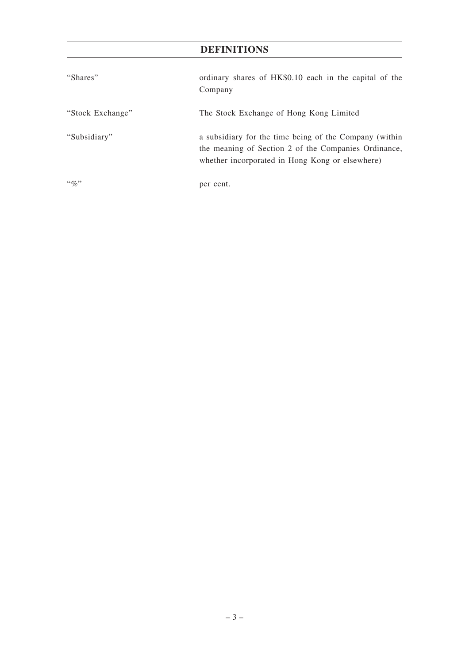# **DEFINITIONS**

| "Shares"         | ordinary shares of HK\$0.10 each in the capital of the<br>Company                                                                                                 |
|------------------|-------------------------------------------------------------------------------------------------------------------------------------------------------------------|
| "Stock Exchange" | The Stock Exchange of Hong Kong Limited                                                                                                                           |
| "Subsidiary"     | a subsidiary for the time being of the Company (within<br>the meaning of Section 2 of the Companies Ordinance,<br>whether incorporated in Hong Kong or elsewhere) |
| $\lq\lq q_0$ "   | per cent.                                                                                                                                                         |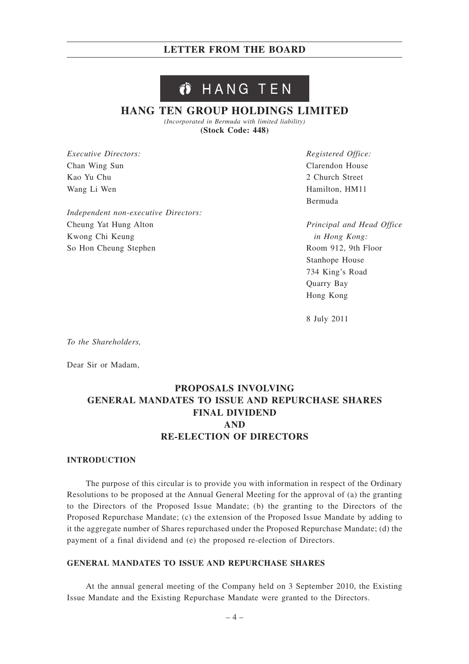#### HANG TEN ŐÌ

# **HANG TEN GROUP HOLDINGS LIMITED**

*(Incorporated in Bermuda with limited liability)* **(Stock Code: 448)**

*Executive Directors:* Chan Wing Sun Kao Yu Chu Wang Li Wen

*Independent non-executive Directors:* Cheung Yat Hung Alton Kwong Chi Keung So Hon Cheung Stephen

*Registered Office:* Clarendon House 2 Church Street Hamilton, HM11 Bermuda

*Principal and Head Office in Hong Kong:* Room 912, 9th Floor Stanhope House 734 King's Road Quarry Bay Hong Kong

8 July 2011

*To the Shareholders,*

Dear Sir or Madam,

# **PROPOSALS INVOLVING GENERAL MANDATES TO ISSUE AND REPURCHASE SHARES FINAL DIVIDEND AND RE-ELECTION OF DIRECTORS**

#### **INTRODUCTION**

The purpose of this circular is to provide you with information in respect of the Ordinary Resolutions to be proposed at the Annual General Meeting for the approval of (a) the granting to the Directors of the Proposed Issue Mandate; (b) the granting to the Directors of the Proposed Repurchase Mandate; (c) the extension of the Proposed Issue Mandate by adding to it the aggregate number of Shares repurchased under the Proposed Repurchase Mandate; (d) the payment of a final dividend and (e) the proposed re-election of Directors.

#### **GENERAL MANDATES TO ISSUE AND REPURCHASE SHARES**

At the annual general meeting of the Company held on 3 September 2010, the Existing Issue Mandate and the Existing Repurchase Mandate were granted to the Directors.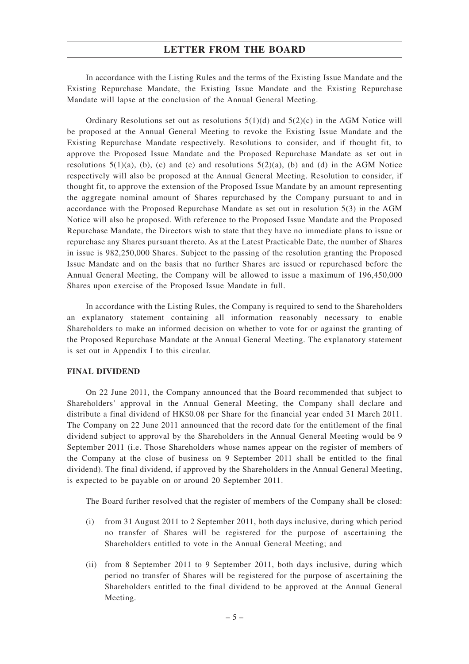In accordance with the Listing Rules and the terms of the Existing Issue Mandate and the Existing Repurchase Mandate, the Existing Issue Mandate and the Existing Repurchase Mandate will lapse at the conclusion of the Annual General Meeting.

Ordinary Resolutions set out as resolutions  $5(1)(d)$  and  $5(2)(c)$  in the AGM Notice will be proposed at the Annual General Meeting to revoke the Existing Issue Mandate and the Existing Repurchase Mandate respectively. Resolutions to consider, and if thought fit, to approve the Proposed Issue Mandate and the Proposed Repurchase Mandate as set out in resolutions  $5(1)(a)$ , (b), (c) and (e) and resolutions  $5(2)(a)$ , (b) and (d) in the AGM Notice respectively will also be proposed at the Annual General Meeting. Resolution to consider, if thought fit, to approve the extension of the Proposed Issue Mandate by an amount representing the aggregate nominal amount of Shares repurchased by the Company pursuant to and in accordance with the Proposed Repurchase Mandate as set out in resolution 5(3) in the AGM Notice will also be proposed. With reference to the Proposed Issue Mandate and the Proposed Repurchase Mandate, the Directors wish to state that they have no immediate plans to issue or repurchase any Shares pursuant thereto. As at the Latest Practicable Date, the number of Shares in issue is 982,250,000 Shares. Subject to the passing of the resolution granting the Proposed Issue Mandate and on the basis that no further Shares are issued or repurchased before the Annual General Meeting, the Company will be allowed to issue a maximum of 196,450,000 Shares upon exercise of the Proposed Issue Mandate in full.

In accordance with the Listing Rules, the Company is required to send to the Shareholders an explanatory statement containing all information reasonably necessary to enable Shareholders to make an informed decision on whether to vote for or against the granting of the Proposed Repurchase Mandate at the Annual General Meeting. The explanatory statement is set out in Appendix I to this circular.

#### **FINAL DIVIDEND**

On 22 June 2011, the Company announced that the Board recommended that subject to Shareholders' approval in the Annual General Meeting, the Company shall declare and distribute a final dividend of HK\$0.08 per Share for the financial year ended 31 March 2011. The Company on 22 June 2011 announced that the record date for the entitlement of the final dividend subject to approval by the Shareholders in the Annual General Meeting would be 9 September 2011 (i.e. Those Shareholders whose names appear on the register of members of the Company at the close of business on 9 September 2011 shall be entitled to the final dividend). The final dividend, if approved by the Shareholders in the Annual General Meeting, is expected to be payable on or around 20 September 2011.

The Board further resolved that the register of members of the Company shall be closed:

- (i) from 31 August 2011 to 2 September 2011, both days inclusive, during which period no transfer of Shares will be registered for the purpose of ascertaining the Shareholders entitled to vote in the Annual General Meeting; and
- (ii) from 8 September 2011 to 9 September 2011, both days inclusive, during which period no transfer of Shares will be registered for the purpose of ascertaining the Shareholders entitled to the final dividend to be approved at the Annual General Meeting.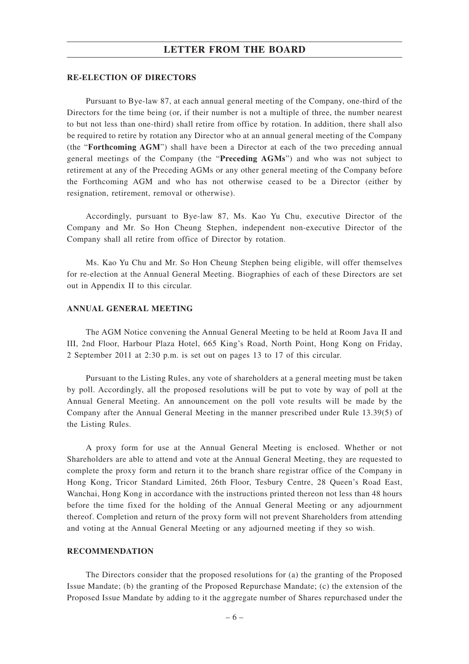#### **RE-ELECTION OF DIRECTORS**

Pursuant to Bye-law 87, at each annual general meeting of the Company, one-third of the Directors for the time being (or, if their number is not a multiple of three, the number nearest to but not less than one-third) shall retire from office by rotation. In addition, there shall also be required to retire by rotation any Director who at an annual general meeting of the Company (the "**Forthcoming AGM**") shall have been a Director at each of the two preceding annual general meetings of the Company (the "**Preceding AGMs**") and who was not subject to retirement at any of the Preceding AGMs or any other general meeting of the Company before the Forthcoming AGM and who has not otherwise ceased to be a Director (either by resignation, retirement, removal or otherwise).

Accordingly, pursuant to Bye-law 87, Ms. Kao Yu Chu, executive Director of the Company and Mr. So Hon Cheung Stephen, independent non-executive Director of the Company shall all retire from office of Director by rotation.

Ms. Kao Yu Chu and Mr. So Hon Cheung Stephen being eligible, will offer themselves for re-election at the Annual General Meeting. Biographies of each of these Directors are set out in Appendix II to this circular.

#### **ANNUAL GENERAL MEETING**

The AGM Notice convening the Annual General Meeting to be held at Room Java II and III, 2nd Floor, Harbour Plaza Hotel, 665 King's Road, North Point, Hong Kong on Friday, 2 September 2011 at 2:30 p.m. is set out on pages 13 to 17 of this circular.

Pursuant to the Listing Rules, any vote of shareholders at a general meeting must be taken by poll. Accordingly, all the proposed resolutions will be put to vote by way of poll at the Annual General Meeting. An announcement on the poll vote results will be made by the Company after the Annual General Meeting in the manner prescribed under Rule 13.39(5) of the Listing Rules.

A proxy form for use at the Annual General Meeting is enclosed. Whether or not Shareholders are able to attend and vote at the Annual General Meeting, they are requested to complete the proxy form and return it to the branch share registrar office of the Company in Hong Kong, Tricor Standard Limited, 26th Floor, Tesbury Centre, 28 Queen's Road East, Wanchai, Hong Kong in accordance with the instructions printed thereon not less than 48 hours before the time fixed for the holding of the Annual General Meeting or any adjournment thereof. Completion and return of the proxy form will not prevent Shareholders from attending and voting at the Annual General Meeting or any adjourned meeting if they so wish.

#### **RECOMMENDATION**

The Directors consider that the proposed resolutions for (a) the granting of the Proposed Issue Mandate; (b) the granting of the Proposed Repurchase Mandate; (c) the extension of the Proposed Issue Mandate by adding to it the aggregate number of Shares repurchased under the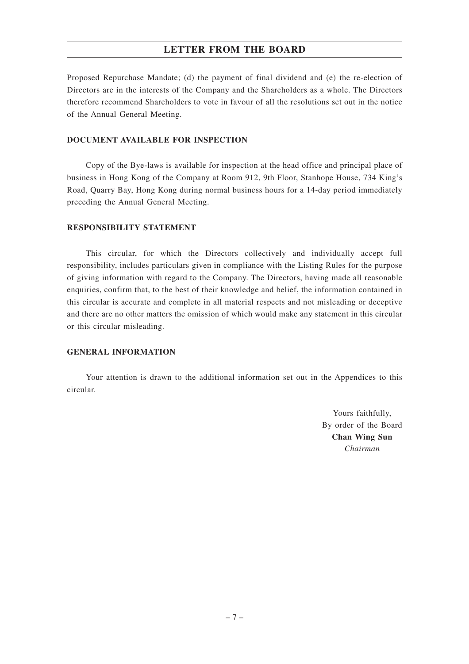Proposed Repurchase Mandate; (d) the payment of final dividend and (e) the re-election of Directors are in the interests of the Company and the Shareholders as a whole. The Directors therefore recommend Shareholders to vote in favour of all the resolutions set out in the notice of the Annual General Meeting.

### **DOCUMENT AVAILABLE FOR INSPECTION**

Copy of the Bye-laws is available for inspection at the head office and principal place of business in Hong Kong of the Company at Room 912, 9th Floor, Stanhope House, 734 King's Road, Quarry Bay, Hong Kong during normal business hours for a 14-day period immediately preceding the Annual General Meeting.

### **RESPONSIBILITY STATEMENT**

This circular, for which the Directors collectively and individually accept full responsibility, includes particulars given in compliance with the Listing Rules for the purpose of giving information with regard to the Company. The Directors, having made all reasonable enquiries, confirm that, to the best of their knowledge and belief, the information contained in this circular is accurate and complete in all material respects and not misleading or deceptive and there are no other matters the omission of which would make any statement in this circular or this circular misleading.

#### **GENERAL INFORMATION**

Your attention is drawn to the additional information set out in the Appendices to this circular.

> Yours faithfully, By order of the Board **Chan Wing Sun** *Chairman*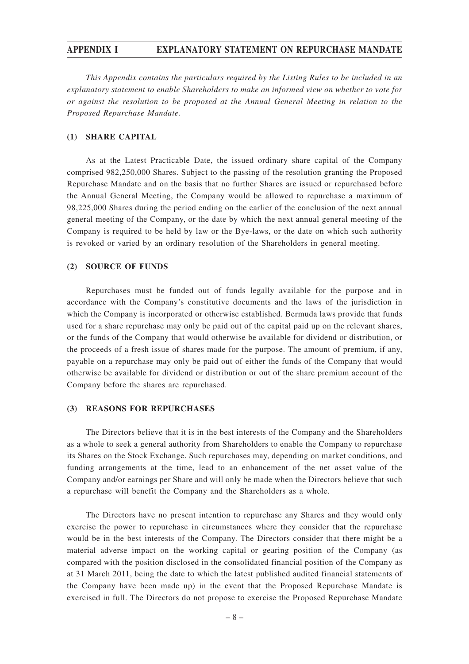#### **APPENDIX I EXPLANATORY STATEMENT ON REPURCHASE MANDATE**

*This Appendix contains the particulars required by the Listing Rules to be included in an explanatory statement to enable Shareholders to make an informed view on whether to vote for or against the resolution to be proposed at the Annual General Meeting in relation to the Proposed Repurchase Mandate.*

#### **(1) SHARE CAPITAL**

As at the Latest Practicable Date, the issued ordinary share capital of the Company comprised 982,250,000 Shares. Subject to the passing of the resolution granting the Proposed Repurchase Mandate and on the basis that no further Shares are issued or repurchased before the Annual General Meeting, the Company would be allowed to repurchase a maximum of 98,225,000 Shares during the period ending on the earlier of the conclusion of the next annual general meeting of the Company, or the date by which the next annual general meeting of the Company is required to be held by law or the Bye-laws, or the date on which such authority is revoked or varied by an ordinary resolution of the Shareholders in general meeting.

#### **(2) SOURCE OF FUNDS**

Repurchases must be funded out of funds legally available for the purpose and in accordance with the Company's constitutive documents and the laws of the jurisdiction in which the Company is incorporated or otherwise established. Bermuda laws provide that funds used for a share repurchase may only be paid out of the capital paid up on the relevant shares, or the funds of the Company that would otherwise be available for dividend or distribution, or the proceeds of a fresh issue of shares made for the purpose. The amount of premium, if any, payable on a repurchase may only be paid out of either the funds of the Company that would otherwise be available for dividend or distribution or out of the share premium account of the Company before the shares are repurchased.

#### **(3) REASONS FOR REPURCHASES**

The Directors believe that it is in the best interests of the Company and the Shareholders as a whole to seek a general authority from Shareholders to enable the Company to repurchase its Shares on the Stock Exchange. Such repurchases may, depending on market conditions, and funding arrangements at the time, lead to an enhancement of the net asset value of the Company and/or earnings per Share and will only be made when the Directors believe that such a repurchase will benefit the Company and the Shareholders as a whole.

The Directors have no present intention to repurchase any Shares and they would only exercise the power to repurchase in circumstances where they consider that the repurchase would be in the best interests of the Company. The Directors consider that there might be a material adverse impact on the working capital or gearing position of the Company (as compared with the position disclosed in the consolidated financial position of the Company as at 31 March 2011, being the date to which the latest published audited financial statements of the Company have been made up) in the event that the Proposed Repurchase Mandate is exercised in full. The Directors do not propose to exercise the Proposed Repurchase Mandate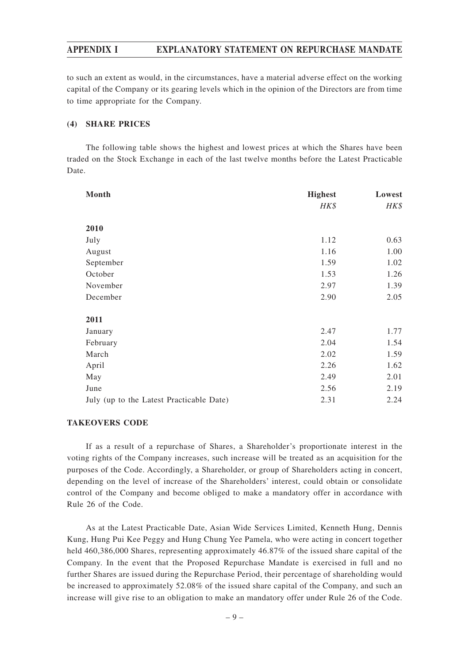## **APPENDIX I EXPLANATORY STATEMENT ON REPURCHASE MANDATE**

to such an extent as would, in the circumstances, have a material adverse effect on the working capital of the Company or its gearing levels which in the opinion of the Directors are from time to time appropriate for the Company.

#### **(4) SHARE PRICES**

The following table shows the highest and lowest prices at which the Shares have been traded on the Stock Exchange in each of the last twelve months before the Latest Practicable Date.

| Month                                    | <b>Highest</b> | Lowest |
|------------------------------------------|----------------|--------|
|                                          | HK\$           | HK\$   |
|                                          |                |        |
| 2010                                     |                |        |
| July                                     | 1.12           | 0.63   |
| August                                   | 1.16           | 1.00   |
| September                                | 1.59           | 1.02   |
| October                                  | 1.53           | 1.26   |
| November                                 | 2.97           | 1.39   |
| December                                 | 2.90           | 2.05   |
|                                          |                |        |
| 2011                                     |                |        |
| January                                  | 2.47           | 1.77   |
| February                                 | 2.04           | 1.54   |
| March                                    | 2.02           | 1.59   |
| April                                    | 2.26           | 1.62   |
| May                                      | 2.49           | 2.01   |
| June                                     | 2.56           | 2.19   |
| July (up to the Latest Practicable Date) | 2.31           | 2.24   |

#### **TAKEOVERS CODE**

If as a result of a repurchase of Shares, a Shareholder's proportionate interest in the voting rights of the Company increases, such increase will be treated as an acquisition for the purposes of the Code. Accordingly, a Shareholder, or group of Shareholders acting in concert, depending on the level of increase of the Shareholders' interest, could obtain or consolidate control of the Company and become obliged to make a mandatory offer in accordance with Rule 26 of the Code.

As at the Latest Practicable Date, Asian Wide Services Limited, Kenneth Hung, Dennis Kung, Hung Pui Kee Peggy and Hung Chung Yee Pamela, who were acting in concert together held 460,386,000 Shares, representing approximately 46.87% of the issued share capital of the Company. In the event that the Proposed Repurchase Mandate is exercised in full and no further Shares are issued during the Repurchase Period, their percentage of shareholding would be increased to approximately 52.08% of the issued share capital of the Company, and such an increase will give rise to an obligation to make an mandatory offer under Rule 26 of the Code.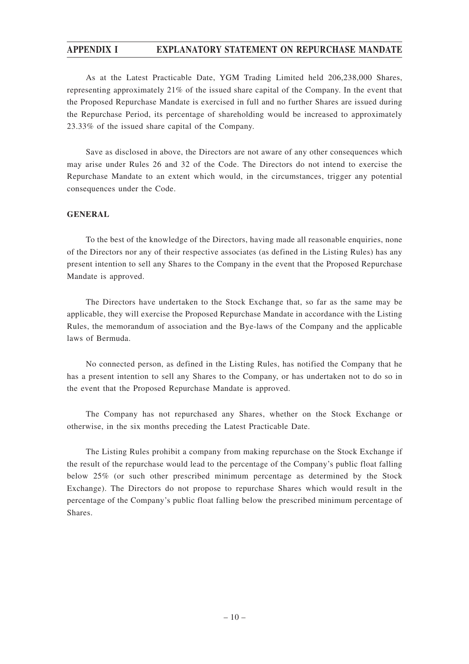# **APPENDIX I EXPLANATORY STATEMENT ON REPURCHASE MANDATE**

As at the Latest Practicable Date, YGM Trading Limited held 206,238,000 Shares, representing approximately 21% of the issued share capital of the Company. In the event that the Proposed Repurchase Mandate is exercised in full and no further Shares are issued during the Repurchase Period, its percentage of shareholding would be increased to approximately 23.33% of the issued share capital of the Company.

Save as disclosed in above, the Directors are not aware of any other consequences which may arise under Rules 26 and 32 of the Code. The Directors do not intend to exercise the Repurchase Mandate to an extent which would, in the circumstances, trigger any potential consequences under the Code.

## **GENERAL**

To the best of the knowledge of the Directors, having made all reasonable enquiries, none of the Directors nor any of their respective associates (as defined in the Listing Rules) has any present intention to sell any Shares to the Company in the event that the Proposed Repurchase Mandate is approved.

The Directors have undertaken to the Stock Exchange that, so far as the same may be applicable, they will exercise the Proposed Repurchase Mandate in accordance with the Listing Rules, the memorandum of association and the Bye-laws of the Company and the applicable laws of Bermuda.

No connected person, as defined in the Listing Rules, has notified the Company that he has a present intention to sell any Shares to the Company, or has undertaken not to do so in the event that the Proposed Repurchase Mandate is approved.

The Company has not repurchased any Shares, whether on the Stock Exchange or otherwise, in the six months preceding the Latest Practicable Date.

The Listing Rules prohibit a company from making repurchase on the Stock Exchange if the result of the repurchase would lead to the percentage of the Company's public float falling below 25% (or such other prescribed minimum percentage as determined by the Stock Exchange). The Directors do not propose to repurchase Shares which would result in the percentage of the Company's public float falling below the prescribed minimum percentage of Shares.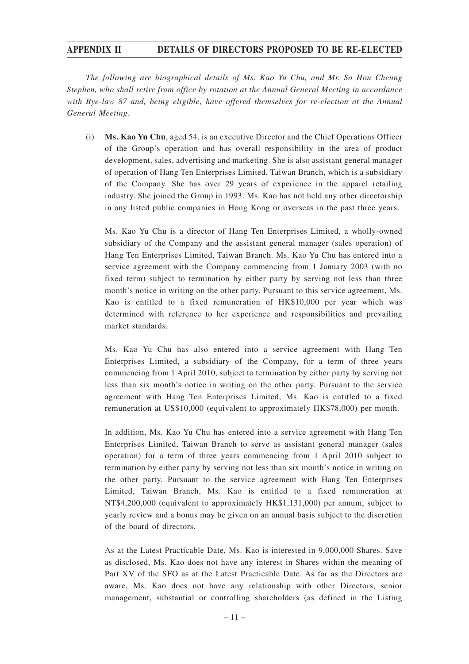## **APPENDIX II DETAILS OF DIRECTORS PROPOSED TO BE RE-ELECTED**

*The following are biographical details of Ms. Kao Yu Chu, and Mr. So Hon Cheung Stephen, who shall retire from office by rotation at the Annual General Meeting in accordance with Bye-law 87 and, being eligible, have offered themselves for re-election at the Annual General Meeting.*

(i) **Ms. Kao Yu Chu**, aged 54, is an executive Director and the Chief Operations Officer of the Group's operation and has overall responsibility in the area of product development, sales, advertising and marketing. She is also assistant general manager of operation of Hang Ten Enterprises Limited, Taiwan Branch, which is a subsidiary of the Company. She has over 29 years of experience in the apparel retailing industry. She joined the Group in 1993. Ms. Kao has not held any other directorship in any listed public companies in Hong Kong or overseas in the past three years.

Ms. Kao Yu Chu is a director of Hang Ten Enterprises Limited, a wholly-owned subsidiary of the Company and the assistant general manager (sales operation) of Hang Ten Enterprises Limited, Taiwan Branch. Ms. Kao Yu Chu has entered into a service agreement with the Company commencing from 1 January 2003 (with no fixed term) subject to termination by either party by serving not less than three month's notice in writing on the other party. Pursuant to this service agreement, Ms. Kao is entitled to a fixed remuneration of HK\$10,000 per year which was determined with reference to her experience and responsibilities and prevailing market standards.

Ms. Kao Yu Chu has also entered into a service agreement with Hang Ten Enterprises Limited, a subsidiary of the Company, for a term of three years commencing from 1 April 2010, subject to termination by either party by serving not less than six month's notice in writing on the other party. Pursuant to the service agreement with Hang Ten Enterprises Limited, Ms. Kao is entitled to a fixed remuneration at US\$10,000 (equivalent to approximately HK\$78,000) per month.

In addition, Ms. Kao Yu Chu has entered into a service agreement with Hang Ten Enterprises Limited, Taiwan Branch to serve as assistant general manager (sales operation) for a term of three years commencing from 1 April 2010 subject to termination by either party by serving not less than six month's notice in writing on the other party. Pursuant to the service agreement with Hang Ten Enterprises Limited, Taiwan Branch, Ms. Kao is entitled to a fixed remuneration at NT\$4,200,000 (equivalent to approximately HK\$1,131,000) per annum, subject to yearly review and a bonus may be given on an annual basis subject to the discretion of the board of directors.

As at the Latest Practicable Date, Ms. Kao is interested in 9,000,000 Shares. Save as disclosed, Ms. Kao does not have any interest in Shares within the meaning of Part XV of the SFO as at the Latest Practicable Date. As far as the Directors are aware, Ms. Kao does not have any relationship with other Directors, senior management, substantial or controlling shareholders (as defined in the Listing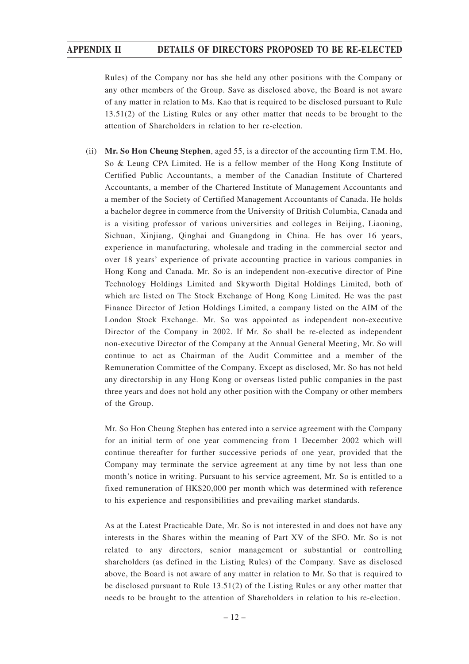# **APPENDIX II DETAILS OF DIRECTORS PROPOSED TO BE RE-ELECTED**

Rules) of the Company nor has she held any other positions with the Company or any other members of the Group. Save as disclosed above, the Board is not aware of any matter in relation to Ms. Kao that is required to be disclosed pursuant to Rule 13.51(2) of the Listing Rules or any other matter that needs to be brought to the attention of Shareholders in relation to her re-election.

(ii) **Mr. So Hon Cheung Stephen**, aged 55, is a director of the accounting firm T.M. Ho, So & Leung CPA Limited. He is a fellow member of the Hong Kong Institute of Certified Public Accountants, a member of the Canadian Institute of Chartered Accountants, a member of the Chartered Institute of Management Accountants and a member of the Society of Certified Management Accountants of Canada. He holds a bachelor degree in commerce from the University of British Columbia, Canada and is a visiting professor of various universities and colleges in Beijing, Liaoning, Sichuan, Xinjiang, Qinghai and Guangdong in China. He has over 16 years, experience in manufacturing, wholesale and trading in the commercial sector and over 18 years' experience of private accounting practice in various companies in Hong Kong and Canada. Mr. So is an independent non-executive director of Pine Technology Holdings Limited and Skyworth Digital Holdings Limited, both of which are listed on The Stock Exchange of Hong Kong Limited. He was the past Finance Director of Jetion Holdings Limited, a company listed on the AIM of the London Stock Exchange. Mr. So was appointed as independent non-executive Director of the Company in 2002. If Mr. So shall be re-elected as independent non-executive Director of the Company at the Annual General Meeting, Mr. So will continue to act as Chairman of the Audit Committee and a member of the Remuneration Committee of the Company. Except as disclosed, Mr. So has not held any directorship in any Hong Kong or overseas listed public companies in the past three years and does not hold any other position with the Company or other members of the Group.

Mr. So Hon Cheung Stephen has entered into a service agreement with the Company for an initial term of one year commencing from 1 December 2002 which will continue thereafter for further successive periods of one year, provided that the Company may terminate the service agreement at any time by not less than one month's notice in writing. Pursuant to his service agreement, Mr. So is entitled to a fixed remuneration of HK\$20,000 per month which was determined with reference to his experience and responsibilities and prevailing market standards.

As at the Latest Practicable Date, Mr. So is not interested in and does not have any interests in the Shares within the meaning of Part XV of the SFO. Mr. So is not related to any directors, senior management or substantial or controlling shareholders (as defined in the Listing Rules) of the Company. Save as disclosed above, the Board is not aware of any matter in relation to Mr. So that is required to be disclosed pursuant to Rule 13.51(2) of the Listing Rules or any other matter that needs to be brought to the attention of Shareholders in relation to his re-election.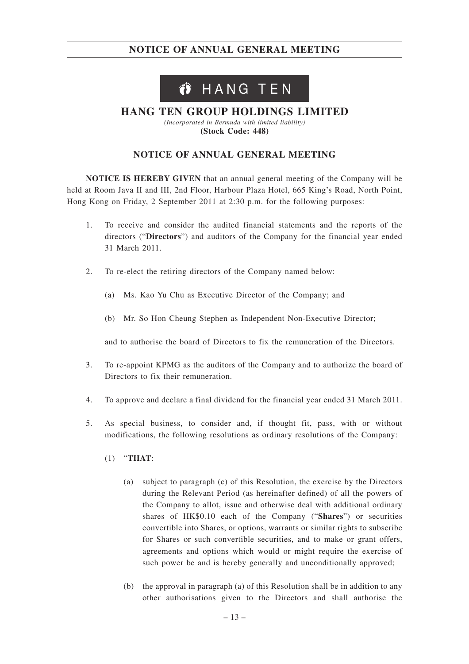# Ö HANG TEN

# **HANG TEN GROUP HOLDINGS LIMITED**

*(Incorporated in Bermuda with limited liability)* **(Stock Code: 448)**

# **NOTICE OF ANNUAL GENERAL MEETING**

**NOTICE IS HEREBY GIVEN** that an annual general meeting of the Company will be held at Room Java II and III, 2nd Floor, Harbour Plaza Hotel, 665 King's Road, North Point, Hong Kong on Friday, 2 September 2011 at 2:30 p.m. for the following purposes:

- 1. To receive and consider the audited financial statements and the reports of the directors ("**Directors**") and auditors of the Company for the financial year ended 31 March 2011.
- 2. To re-elect the retiring directors of the Company named below:
	- (a) Ms. Kao Yu Chu as Executive Director of the Company; and
	- (b) Mr. So Hon Cheung Stephen as Independent Non-Executive Director;

and to authorise the board of Directors to fix the remuneration of the Directors.

- 3. To re-appoint KPMG as the auditors of the Company and to authorize the board of Directors to fix their remuneration.
- 4. To approve and declare a final dividend for the financial year ended 31 March 2011.
- 5. As special business, to consider and, if thought fit, pass, with or without modifications, the following resolutions as ordinary resolutions of the Company:
	- (1) "**THAT**:
		- (a) subject to paragraph (c) of this Resolution, the exercise by the Directors during the Relevant Period (as hereinafter defined) of all the powers of the Company to allot, issue and otherwise deal with additional ordinary shares of HK\$0.10 each of the Company ("**Shares**") or securities convertible into Shares, or options, warrants or similar rights to subscribe for Shares or such convertible securities, and to make or grant offers, agreements and options which would or might require the exercise of such power be and is hereby generally and unconditionally approved;
		- (b) the approval in paragraph (a) of this Resolution shall be in addition to any other authorisations given to the Directors and shall authorise the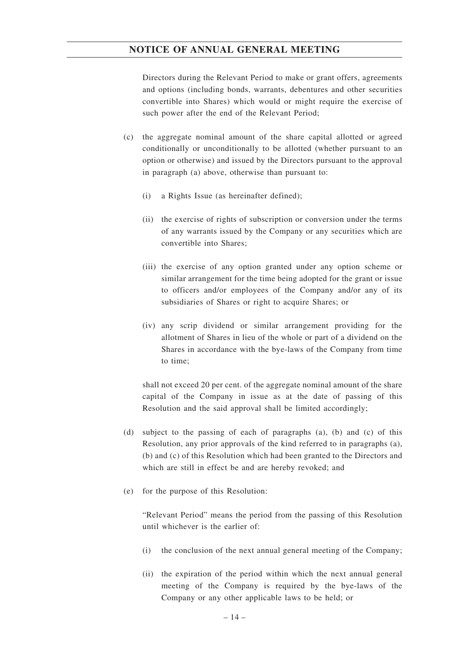Directors during the Relevant Period to make or grant offers, agreements and options (including bonds, warrants, debentures and other securities convertible into Shares) which would or might require the exercise of such power after the end of the Relevant Period;

- (c) the aggregate nominal amount of the share capital allotted or agreed conditionally or unconditionally to be allotted (whether pursuant to an option or otherwise) and issued by the Directors pursuant to the approval in paragraph (a) above, otherwise than pursuant to:
	- (i) a Rights Issue (as hereinafter defined);
	- (ii) the exercise of rights of subscription or conversion under the terms of any warrants issued by the Company or any securities which are convertible into Shares;
	- (iii) the exercise of any option granted under any option scheme or similar arrangement for the time being adopted for the grant or issue to officers and/or employees of the Company and/or any of its subsidiaries of Shares or right to acquire Shares; or
	- (iv) any scrip dividend or similar arrangement providing for the allotment of Shares in lieu of the whole or part of a dividend on the Shares in accordance with the bye-laws of the Company from time to time;

shall not exceed 20 per cent. of the aggregate nominal amount of the share capital of the Company in issue as at the date of passing of this Resolution and the said approval shall be limited accordingly;

- (d) subject to the passing of each of paragraphs (a), (b) and (c) of this Resolution, any prior approvals of the kind referred to in paragraphs (a), (b) and (c) of this Resolution which had been granted to the Directors and which are still in effect be and are hereby revoked; and
- (e) for the purpose of this Resolution:

"Relevant Period" means the period from the passing of this Resolution until whichever is the earlier of:

- (i) the conclusion of the next annual general meeting of the Company;
- (ii) the expiration of the period within which the next annual general meeting of the Company is required by the bye-laws of the Company or any other applicable laws to be held; or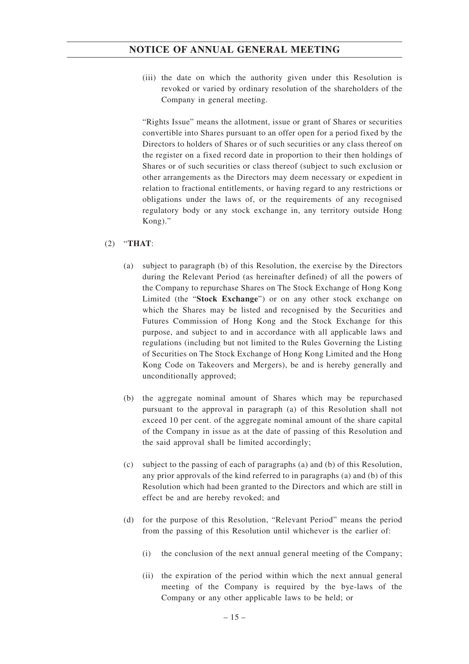(iii) the date on which the authority given under this Resolution is revoked or varied by ordinary resolution of the shareholders of the Company in general meeting.

"Rights Issue" means the allotment, issue or grant of Shares or securities convertible into Shares pursuant to an offer open for a period fixed by the Directors to holders of Shares or of such securities or any class thereof on the register on a fixed record date in proportion to their then holdings of Shares or of such securities or class thereof (subject to such exclusion or other arrangements as the Directors may deem necessary or expedient in relation to fractional entitlements, or having regard to any restrictions or obligations under the laws of, or the requirements of any recognised regulatory body or any stock exchange in, any territory outside Hong Kong)."

## (2) "**THAT**:

- (a) subject to paragraph (b) of this Resolution, the exercise by the Directors during the Relevant Period (as hereinafter defined) of all the powers of the Company to repurchase Shares on The Stock Exchange of Hong Kong Limited (the "**Stock Exchange**") or on any other stock exchange on which the Shares may be listed and recognised by the Securities and Futures Commission of Hong Kong and the Stock Exchange for this purpose, and subject to and in accordance with all applicable laws and regulations (including but not limited to the Rules Governing the Listing of Securities on The Stock Exchange of Hong Kong Limited and the Hong Kong Code on Takeovers and Mergers), be and is hereby generally and unconditionally approved;
- (b) the aggregate nominal amount of Shares which may be repurchased pursuant to the approval in paragraph (a) of this Resolution shall not exceed 10 per cent. of the aggregate nominal amount of the share capital of the Company in issue as at the date of passing of this Resolution and the said approval shall be limited accordingly;
- (c) subject to the passing of each of paragraphs (a) and (b) of this Resolution, any prior approvals of the kind referred to in paragraphs (a) and (b) of this Resolution which had been granted to the Directors and which are still in effect be and are hereby revoked; and
- (d) for the purpose of this Resolution, "Relevant Period" means the period from the passing of this Resolution until whichever is the earlier of:
	- (i) the conclusion of the next annual general meeting of the Company;
	- (ii) the expiration of the period within which the next annual general meeting of the Company is required by the bye-laws of the Company or any other applicable laws to be held; or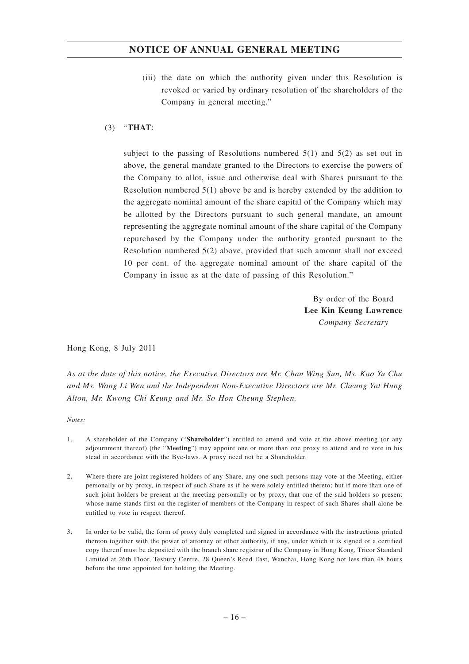(iii) the date on which the authority given under this Resolution is revoked or varied by ordinary resolution of the shareholders of the Company in general meeting."

#### (3) "**THAT**:

subject to the passing of Resolutions numbered  $5(1)$  and  $5(2)$  as set out in above, the general mandate granted to the Directors to exercise the powers of the Company to allot, issue and otherwise deal with Shares pursuant to the Resolution numbered 5(1) above be and is hereby extended by the addition to the aggregate nominal amount of the share capital of the Company which may be allotted by the Directors pursuant to such general mandate, an amount representing the aggregate nominal amount of the share capital of the Company repurchased by the Company under the authority granted pursuant to the Resolution numbered 5(2) above, provided that such amount shall not exceed 10 per cent. of the aggregate nominal amount of the share capital of the Company in issue as at the date of passing of this Resolution."

> By order of the Board **Lee Kin Keung Lawrence** *Company Secretary*

Hong Kong, 8 July 2011

*As at the date of this notice, the Executive Directors are Mr. Chan Wing Sun, Ms. Kao Yu Chu and Ms. Wang Li Wen and the Independent Non-Executive Directors are Mr. Cheung Yat Hung Alton, Mr. Kwong Chi Keung and Mr. So Hon Cheung Stephen.*

*Notes:*

- 1. A shareholder of the Company ("**Shareholder**") entitled to attend and vote at the above meeting (or any adjournment thereof) (the "**Meeting**") may appoint one or more than one proxy to attend and to vote in his stead in accordance with the Bye-laws. A proxy need not be a Shareholder.
- 2. Where there are joint registered holders of any Share, any one such persons may vote at the Meeting, either personally or by proxy, in respect of such Share as if he were solely entitled thereto; but if more than one of such joint holders be present at the meeting personally or by proxy, that one of the said holders so present whose name stands first on the register of members of the Company in respect of such Shares shall alone be entitled to vote in respect thereof.
- 3. In order to be valid, the form of proxy duly completed and signed in accordance with the instructions printed thereon together with the power of attorney or other authority, if any, under which it is signed or a certified copy thereof must be deposited with the branch share registrar of the Company in Hong Kong, Tricor Standard Limited at 26th Floor, Tesbury Centre, 28 Queen's Road East, Wanchai, Hong Kong not less than 48 hours before the time appointed for holding the Meeting.